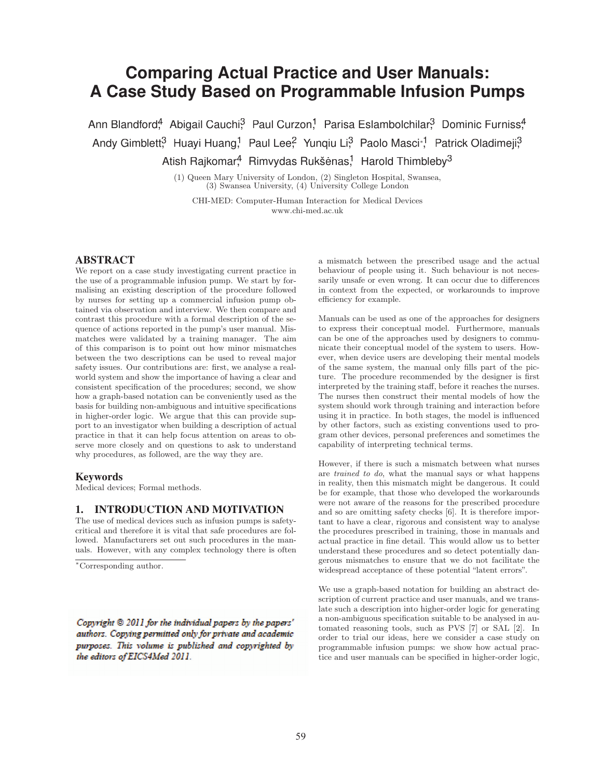# **Comparing Actual Practice and User Manuals: Comparing A Case Study Based on Programmable Infusion Pumps Case**

Ann Blandford<sup>4</sup>, Abigail Cauchi<sup>3</sup>, Paul Curzon,<sup>1</sup>, Parisa Eslambolchilar,<sup>3</sup>, Dominic Furniss.<sup>4</sup> Andy Gimblett,<sup>3</sup> Huayi Huang,<sup>1</sup> Paul Lee,<sup>2</sup> Yunqiu Li,<sup>3</sup> Paolo Masci∗,<sup>1</sup> Patrick Oladimeji,<sup>3</sup> Atish Rajkomar,<sup>4</sup> Rimvydas Rukšėnas,<sup>1</sup> Harold Thimbleby<sup>3</sup>

> (1) Queen Mary University of London, (2) Singleton Hospital, Swansea, (3) Swansea University, (4) University College London (3) Swansea University, (4) University College London

CHI-MED: Computer-Human Interaction for Medical Devices www.chi-med.ac.uk

### ABSTRACT

We report on a case study investigating current practice in the use of a programmable infusion pump. We start by formalising an existing description of the procedure followed by nurses for setting up a commercial infusion pump obtained via observation and interview. We then compare and tained via observation and interview. We then compare and contrast this procedure with a formal description of the sequence of actions reported in the pump's user manual. Mismatches were validated by a training manager. The aim of this comparison is to point out how minor mismatches between the two descriptions can be used to reveal major safety issues. Our contributions are: first, we analyse a realworld system and show the importance of having a clear and consistent specification of the procedures; second, we show how a graph-based notation can be conveniently used as the basis for building non-ambiguous and intuitive specifications basis in higher-order logic. We argue that this can provide sup-in higher-order port to an investigator when building a description of actual practice in that it can help focus attention on areas to observe more closely and on questions to ask to understand why procedures, as followed, are the way they are. **ABSITRACT**<br>
ARTERIZATION<br>
We repeat on a case study investigating tracted between the presention between the present<br>in the same of proparation into the same of a program of the same of the<br>same of a proparation interven

#### **Keywords**

Medical devices; Formal methods.

### 1. INTRODUCTION AND MOTIVATION

The use of medical devices such as infusion pumps is safetycritical and therefore it is vital that safe procedures are followed. Manufacturers set out such procedures in the manuals. However, with any complex technology there is often

the editors of EICS4Med 2011.

a mismatch between the prescribed usage and the actual behaviour of people using it. Such behaviour is not necessarily unsafe or even wrong. It can occur due to differences in context from the expected, or workarounds to improve efficiency for example.

Manuals can be used as one of the approaches for designers to express their conceptual model. Furthermore, manuals can be one of the approaches used by designers to communicate their conceptual model of the system to users. However, when device users are developing their mental models of the same system, the manual only fills part of the picture. The procedure recommended by the designer is first interpreted by the training staff, before it reaches the nurses. The nurses then construct their mental models of how the system should work through training and interaction before using it in practice. In both stages, the model is influenced by other factors, such as existing conventions used to program other devices, personal preferences and sometimes the capability of interpreting technical terms.

However, if there is such a mismatch between what nurses are trained to do, what the manual says or what happens in reality, then this mismatch might be dangerous. It could be for example, that those who developed the workarounds were not aware of the reasons for the prescribed procedure and so are omitting safety checks [6]. It is therefore important to have a clear, rigorous and consistent way to analyse the procedures prescribed in training, those in manuals and actual practice in fine detail. This would allow us to better understand these procedures and so detect potentially dangerous mismatches to ensure that we do not facilitate the widespread acceptance of these potential "latent errors".

We use a graph-based notation for building an abstract description of current practice and user manuals, and we translate such a description into higher-order logic for generating a non-ambiguous specification suitable to be analysed in automated reasoning tools, such as PVS [7] or SAL [2]. In order to trial our ideas, here we consider a case study on programmable infusion pumps: we show how actual practice and user manuals can be specified in higher-order logic,

<sup>∗</sup>Corresponding author.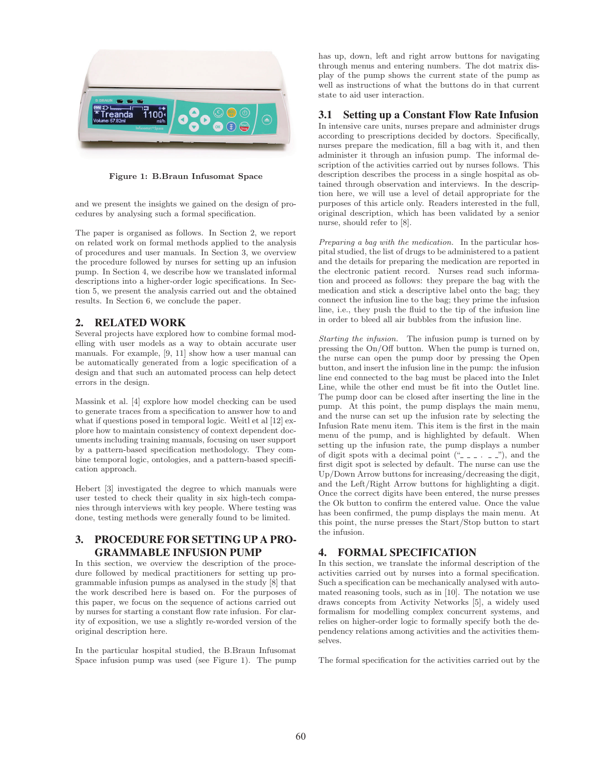

**Figure 1: B.Braun Infusomat Space**

and we present the insights we gained on the design of procedures by analysing such a formal specification.

The paper is organised as follows. In Section 2, we report on related work on formal methods applied to the analysis of procedures and user manuals. In Section 3, we overview the procedure followed by nurses for setting up an infusion pump. In Section 4, we describe how we translated informal descriptions into a higher-order logic specifications. In Section 5, we present the analysis carried out and the obtained results. In Section 6, we conclude the paper.

# 2. RELATED WORK

Several projects have explored how to combine formal modelling with user models as a way to obtain accurate user manuals. For example, [9, 11] show how a user manual can be automatically generated from a logic specification of a design and that such an automated process can help detect errors in the design.

Massink et al. [4] explore how model checking can be used to generate traces from a specification to answer how to and what if questions posed in temporal logic. Weitl et al [12] explore how to maintain consistency of context dependent documents including training manuals, focusing on user support by a pattern-based specification methodology. They combine temporal logic, ontologies, and a pattern-based specification approach.

Hebert [3] investigated the degree to which manuals were user tested to check their quality in six high-tech companies through interviews with key people. Where testing was done, testing methods were generally found to be limited.

# 3. PROCEDURE FOR SETTING UP A PRO-GRAMMABLE INFUSION PUMP

In this section, we overview the description of the procedure followed by medical practitioners for setting up programmable infusion pumps as analysed in the study [8] that the work described here is based on. For the purposes of this paper, we focus on the sequence of actions carried out by nurses for starting a constant flow rate infusion. For clarity of exposition, we use a slightly re-worded version of the original description here.

In the particular hospital studied, the B.Braun Infusomat Space infusion pump was used (see Figure 1). The pump has up, down, left and right arrow buttons for navigating through menus and entering numbers. The dot matrix display of the pump shows the current state of the pump as well as instructions of what the buttons do in that current state to aid user interaction.

# 3.1 Setting up a Constant Flow Rate Infusion

In intensive care units, nurses prepare and administer drugs according to prescriptions decided by doctors. Specifically, nurses prepare the medication, fill a bag with it, and then administer it through an infusion pump. The informal description of the activities carried out by nurses follows. This description describes the process in a single hospital as obtained through observation and interviews. In the description here, we will use a level of detail appropriate for the purposes of this article only. Readers interested in the full, original description, which has been validated by a senior nurse, should refer to [8].

Preparing a bag with the medication. In the particular hospital studied, the list of drugs to be administered to a patient and the details for preparing the medication are reported in the electronic patient record. Nurses read such information and proceed as follows: they prepare the bag with the medication and stick a descriptive label onto the bag; they connect the infusion line to the bag; they prime the infusion line, i.e., they push the fluid to the tip of the infusion line in order to bleed all air bubbles from the infusion line.

Starting the infusion. The infusion pump is turned on by pressing the On/Off button. When the pump is turned on, the nurse can open the pump door by pressing the Open button, and insert the infusion line in the pump: the infusion line end connected to the bag must be placed into the Inlet Line, while the other end must be fit into the Outlet line. The pump door can be closed after inserting the line in the pump. At this point, the pump displays the main menu, and the nurse can set up the infusion rate by selecting the Infusion Rate menu item. This item is the first in the main menu of the pump, and is highlighted by default. When setting up the infusion rate, the pump displays a number of digit spots with a decimal point  $(\begin{smallmatrix} a & - & - & - \end{smallmatrix})$ , and the first digit spot is selected by default. The nurse can use the Up/Down Arrow buttons for increasing/decreasing the digit, and the Left/Right Arrow buttons for highlighting a digit. Once the correct digits have been entered, the nurse presses the Ok button to confirm the entered value. Once the value has been confirmed, the pump displays the main menu. At this point, the nurse presses the Start/Stop button to start the infusion.

# 4. FORMAL SPECIFICATION

In this section, we translate the informal description of the activities carried out by nurses into a formal specification. Such a specification can be mechanically analysed with automated reasoning tools, such as in [10]. The notation we use draws concepts from Activity Networks [5], a widely used formalism for modelling complex concurrent systems, and relies on higher-order logic to formally specify both the dependency relations among activities and the activities themselves.

The formal specification for the activities carried out by the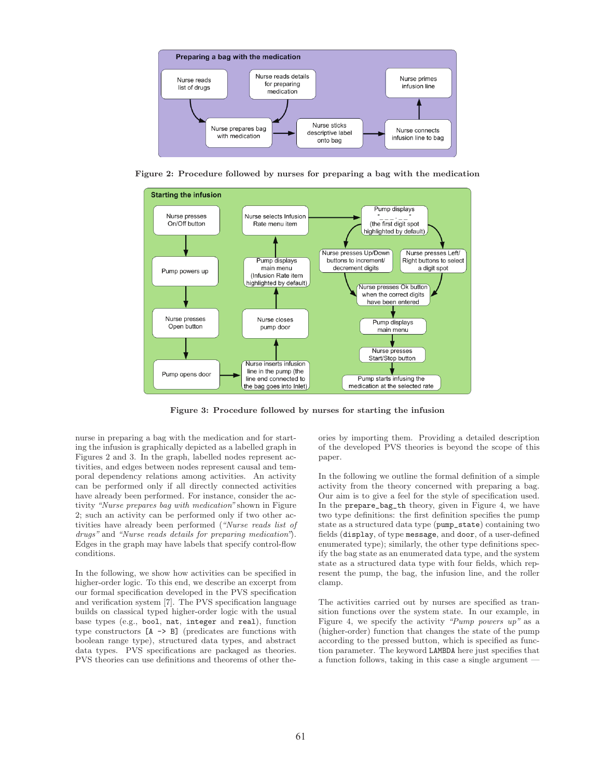

**Figure 2: Procedure followed by nurses for preparing a bag with the medication**



**Figure 3: Procedure followed by nurses for starting the infusion**

nurse in preparing a bag with the medication and for starting the infusion is graphically depicted as a labelled graph in Figures 2 and 3. In the graph, labelled nodes represent activities, and edges between nodes represent causal and temporal dependency relations among activities. An activity can be performed only if all directly connected activities have already been performed. For instance, consider the activity "Nurse prepares bag with medication" shown in Figure 2; such an activity can be performed only if two other activities have already been performed ("Nurse reads list of drugs" and "Nurse reads details for preparing medication"). Edges in the graph may have labels that specify control-flow conditions.

In the following, we show how activities can be specified in higher-order logic. To this end, we describe an excerpt from our formal specification developed in the PVS specification and verification system [7]. The PVS specification language builds on classical typed higher-order logic with the usual base types (e.g., bool, nat, integer and real), function type constructors [A -> B] (predicates are functions with boolean range type), structured data types, and abstract data types. PVS specifications are packaged as theories. PVS theories can use definitions and theorems of other the-

ories by importing them. Providing a detailed description of the developed PVS theories is beyond the scope of this paper.

In the following we outline the formal definition of a simple activity from the theory concerned with preparing a bag. Our aim is to give a feel for the style of specification used. In the prepare\_bag\_th theory, given in Figure 4, we have two type definitions: the first definition specifies the pump state as a structured data type (pump\_state) containing two fields (display, of type message, and door, of a user-defined enumerated type); similarly, the other type definitions specify the bag state as an enumerated data type, and the system state as a structured data type with four fields, which represent the pump, the bag, the infusion line, and the roller clamp.

The activities carried out by nurses are specified as transition functions over the system state. In our example, in Figure 4, we specify the activity "Pump powers  $up$ " as a (higher-order) function that changes the state of the pump according to the pressed button, which is specified as function parameter. The keyword LAMBDA here just specifies that a function follows, taking in this case a single argument —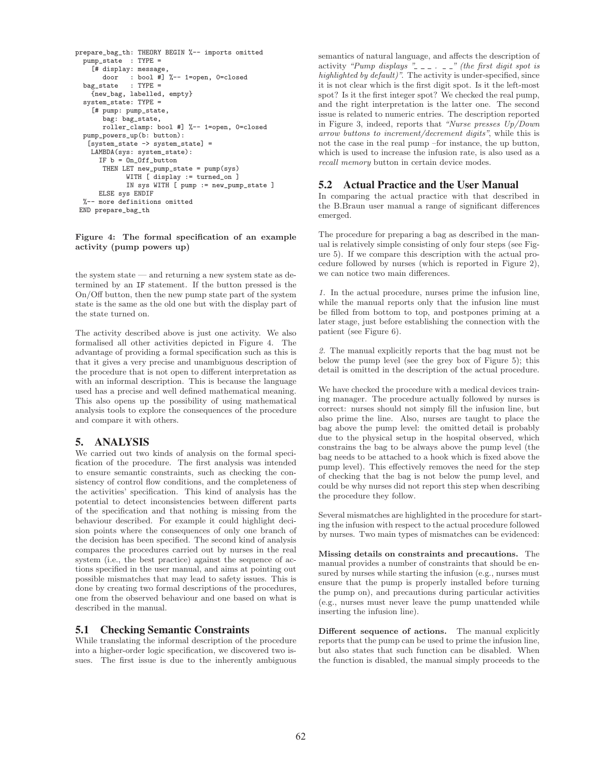```
prepare_bag_th: THEORY BEGIN %-- imports omitted
  pump_state : TYPE =
    [# display: message,
       door : bool #] %-- 1=open, 0=closed<br>state : TYPE =
  bag_state
    {new_bag, labelled, empty}
  system_state: TYPE =
    [# pump: pump_state,
       bag: bag_state,
       roller_clamp: bool #] %-- 1=open, 0=closed
  pump_powers_up(b: button):
   [system_state \rightarrow system_state] =
    LAMBDA(sys: system_state):
      IF b = On_Off_button
       THEN LET new_pump_state = pump(sys)
             WITH [ display := turned_on ]
             IN sys WITH [ pump := new_pump_state ]
      ELSE sys ENDIF
  %-- more definitions omitted
 END prepare_bag_th
```
#### **Figure 4: The formal specification of an example activity (pump powers up)**

the system state — and returning a new system state as determined by an IF statement. If the button pressed is the On/Off button, then the new pump state part of the system state is the same as the old one but with the display part of the state turned on.

The activity described above is just one activity. We also formalised all other activities depicted in Figure 4. The advantage of providing a formal specification such as this is that it gives a very precise and unambiguous description of the procedure that is not open to different interpretation as with an informal description. This is because the language used has a precise and well defined mathematical meaning. This also opens up the possibility of using mathematical analysis tools to explore the consequences of the procedure and compare it with others.

### 5. ANALYSIS

We carried out two kinds of analysis on the formal specification of the procedure. The first analysis was intended to ensure semantic constraints, such as checking the consistency of control flow conditions, and the completeness of the activities' specification. This kind of analysis has the potential to detect inconsistencies between different parts of the specification and that nothing is missing from the behaviour described. For example it could highlight decision points where the consequences of only one branch of the decision has been specified. The second kind of analysis compares the procedures carried out by nurses in the real system (i.e., the best practice) against the sequence of actions specified in the user manual, and aims at pointing out possible mismatches that may lead to safety issues. This is done by creating two formal descriptions of the procedures, one from the observed behaviour and one based on what is described in the manual.

#### 5.1 Checking Semantic Constraints

While translating the informal description of the procedure into a higher-order logic specification, we discovered two issues. The first issue is due to the inherently ambiguous semantics of natural language, and affects the description of activity "Pump displays  $"$ \_\_\_ . \_\_" (the first digit spot is highlighted by default)". The activity is under-specified, since it is not clear which is the first digit spot. Is it the left-most spot? Is it the first integer spot? We checked the real pump, and the right interpretation is the latter one. The second issue is related to numeric entries. The description reported in Figure 3, indeed, reports that "Nurse presses Up/Down arrow buttons to increment/decrement digits", while this is not the case in the real pump –for instance, the up button, which is used to increase the infusion rate, is also used as a recall memory button in certain device modes.

#### 5.2 Actual Practice and the User Manual

In comparing the actual practice with that described in the B.Braun user manual a range of significant differences emerged.

The procedure for preparing a bag as described in the manual is relatively simple consisting of only four steps (see Figure 5). If we compare this description with the actual procedure followed by nurses (which is reported in Figure 2), we can notice two main differences.

1. In the actual procedure, nurses prime the infusion line, while the manual reports only that the infusion line must be filled from bottom to top, and postpones priming at a later stage, just before establishing the connection with the patient (see Figure 6).

2. The manual explicitly reports that the bag must not be below the pump level (see the grey box of Figure 5); this detail is omitted in the description of the actual procedure.

We have checked the procedure with a medical devices training manager. The procedure actually followed by nurses is correct: nurses should not simply fill the infusion line, but also prime the line. Also, nurses are taught to place the bag above the pump level: the omitted detail is probably due to the physical setup in the hospital observed, which constrains the bag to be always above the pump level (the bag needs to be attached to a hook which is fixed above the pump level). This effectively removes the need for the step of checking that the bag is not below the pump level, and could be why nurses did not report this step when describing the procedure they follow.

Several mismatches are highlighted in the procedure for starting the infusion with respect to the actual procedure followed by nurses. Two main types of mismatches can be evidenced:

**Missing details on constraints and precautions.** The manual provides a number of constraints that should be ensured by nurses while starting the infusion (e.g., nurses must ensure that the pump is properly installed before turning the pump on), and precautions during particular activities (e.g., nurses must never leave the pump unattended while inserting the infusion line).

**Different sequence of actions.** The manual explicitly reports that the pump can be used to prime the infusion line, but also states that such function can be disabled. When the function is disabled, the manual simply proceeds to the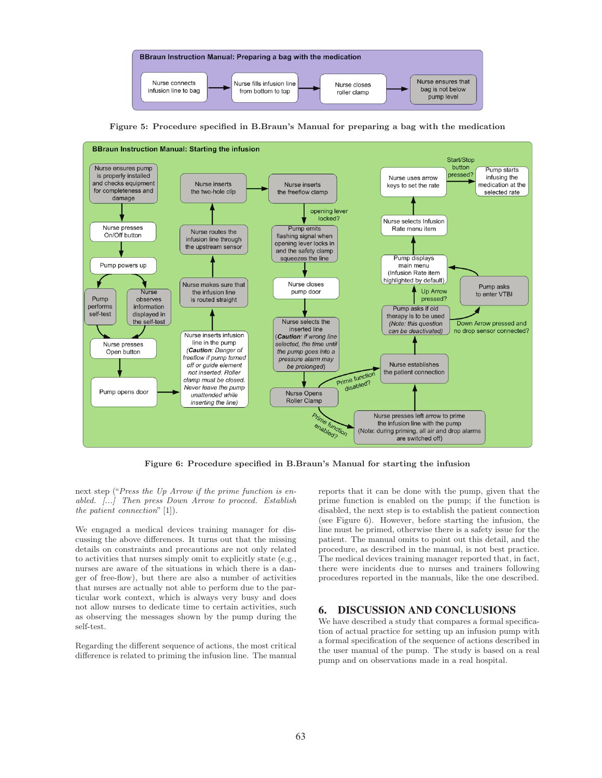

**Figure 5: Procedure specified in B.Braun's Manual for preparing a bag with the medication**



**Figure 6: Procedure specified in B.Braun's Manual for starting the infusion**

next step ("Press the Up Arrow if the prime function is enabled. [...] Then press Down Arrow to proceed. Establish the patient connection" [1]).

We engaged a medical devices training manager for discussing the above differences. It turns out that the missing details on constraints and precautions are not only related to activities that nurses simply omit to explicitly state (e.g., nurses are aware of the situations in which there is a danger of free-flow), but there are also a number of activities that nurses are actually not able to perform due to the particular work context, which is always very busy and does not allow nurses to dedicate time to certain activities, such as observing the messages shown by the pump during the self-test.

Regarding the different sequence of actions, the most critical difference is related to priming the infusion line. The manual reports that it can be done with the pump, given that the prime function is enabled on the pump; if the function is disabled, the next step is to establish the patient connection (see Figure 6). However, before starting the infusion, the line must be primed, otherwise there is a safety issue for the patient. The manual omits to point out this detail, and the procedure, as described in the manual, is not best practice. The medical devices training manager reported that, in fact, there were incidents due to nurses and trainers following procedures reported in the manuals, like the one described.

# 6. DISCUSSION AND CONCLUSIONS

We have described a study that compares a formal specification of actual practice for setting up an infusion pump with a formal specification of the sequence of actions described in the user manual of the pump. The study is based on a real pump and on observations made in a real hospital.